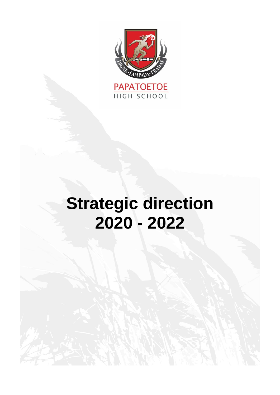

# **Strategic direction 2020 - 2022**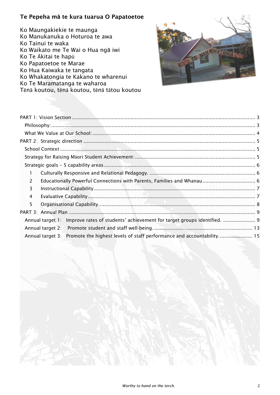# Te Pepeha m**ā** te kura tuarua O Papatoetoe

Ko Maungakiekie te maunga Ko Manukanuka o Hoturoa te awa Ko Tainui te waka Ko Waikato me Te Wai o Hua ngā iwi Ko Te Ākitai te hapū Ko Papatoetoe te Marae Ko Hua Kaiwaka te tangata Ko Whakatongia te Kakano te wharenui Ko Te Maramatanga te waharoa Tēnā koutou, tēnā koutou, tēnā tātou koutou



| L                                                                                        |  |
|------------------------------------------------------------------------------------------|--|
| 2                                                                                        |  |
| 3                                                                                        |  |
| 4                                                                                        |  |
| 5                                                                                        |  |
|                                                                                          |  |
| Annual target 1: Improve rates of students' achievement for target groups identified.  9 |  |
|                                                                                          |  |
| Annual target 3: Promote the highest levels of staff performance and accountability 15   |  |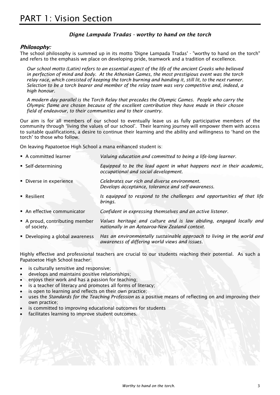# *Digne Lampada Tradas - worthy to hand on the torch*

## <span id="page-2-1"></span><span id="page-2-0"></span>**Philosophy:**

The school philosophy is summed up in its motto 'Digne Lampada Tradas' - "worthy to hand on the torch" and refers to the emphasis we place on developing pride, teamwork and a tradition of excellence.

*Our school motto (Latin) refers to an essential aspect of the life of the ancient Greeks who believed in perfection of mind and body. At the Athenian Games, the most prestigious event was the torch relay race, which consisted of keeping the torch burning and handing it, still lit, to the next runner. Selection to be a torch bearer and member of the relay team was very competitive and, indeed, a high honour.*

*A modern day parallel is the Torch Relay that precedes the Olympic Games. People who carry the Olympic flame are chosen because of the excellent contribution they have made in their chosen field of endeavour, to their communities and to their country.*

Our aim is for all members of our school to eventually leave us as fully participative members of the community through 'living the values of our school'. Their learning journey will empower them with access to suitable qualifications, a desire to continue their learning and the ability and willingness to 'hand on the torch' to those who follow.

On leaving Papatoetoe High School a mana enhanced student is:

| A committed learner                         | Valuing education and committed to being a life-long learner.                                                         |
|---------------------------------------------|-----------------------------------------------------------------------------------------------------------------------|
| • Self-determining                          | Equipped to be the lead agent in what happens next in their academic,<br>occupational and social development.         |
| • Diverse in experience                     | Celebrates our rich and diverse environment.<br>Develops acceptance, tolerance and self-awareness.                    |
| • Resilient                                 | Is equipped to respond to the challenges and opportunities $\theta$ that life<br>brings.                              |
| An effective communicator                   | Confident in expressing themselves and an active listener.                                                            |
| A proud, contributing member<br>of society. | Values heritage and culture and is law abiding, engaged locally and<br>nationally in an Aotearoa-New Zealand context. |
| • Developing a global awareness             | Has an environmentally sustainable approach to living in the world and                                                |

Highly effective and professional teachers are crucial to our students reaching their potential. As such a Papatoetoe High School teacher:

*awareness of differing world views and issues.*

- is culturally sensitive and responsive;
- develops and maintains positive relationships;
- enjoys their work and has a passion for teaching;
- is a teacher of literacy and promotes all forms of literacy;
- is open to learning and reflects on their own practice;
- uses the *Standards for the Teaching Profession* as a positive means of reflecting on and improving their own practice;
- is committed to improving educational outcomes for students
- facilitates learning to improve student outcomes.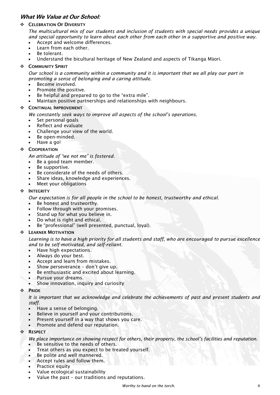# <span id="page-3-0"></span>**What We Value at Our School:**

## ❖ CELEBRATION OF DIVERSITY

*The multicultural mix of our students and inclusion of students with special needs provides a unique and special opportunity to learn about each other from each other in a supportive and positive way.*

- Accept and welcome differences.
- Learn from each other.
- Be tolerant.
- Understand the bicultural heritage of New Zealand and aspects of Tikanga Māori.
- ❖ COMMUNITY SPIRIT

*Our school is a community within a community and it is important that we all play our part in promoting a sense of belonging and a caring attitude.*

- Become involved.
- Promote the positive.
- Be helpful and prepared to go to the "extra mile".
- Maintain positive partnerships and relationships with neighbours.

## ❖ CONTINUAL IMPROVEMENT

*We constantly seek ways to improve all aspects of the school's operations.*

- Set personal goals
- Reflect and evaluate
- Challenge your view of the world.
- Be open-minded.
- Have a go!

## ❖ COOPERATION

*An attitude of "we not me" is fostered.*

- Be a good team member.
- Be supportive.
- Be considerate of the needs of others.
- Share ideas, knowledge and experiences.
- Meet your obligations

#### ❖ INTEGRITY

*Our expectation is for all people in the school to be honest, trustworthy and ethical.*

- Be honest and trustworthy.
- Follow through with your promises.
- Stand up for what you believe in.
- Do what is right and ethical.
- Be "professional" (well presented, punctual, loyal).

#### ❖ LEARNER MOTIVATION

*Learning is to have a high priority for all students and staff, who are encouraged to pursue excellence and to be self-motivated, and self-reliant.*

- Have high expectations.
- Always do your best.
- Accept and learn from mistakes.
- Show perseverance don't give up.
- Be enthusiastic and excited about learning.
- Pursue your dreams.
- Show innovation, inquiry and curiosity

#### ❖ PRIDE

*It is important that we acknowledge and celebrate the achievements of past and present students and staff.* 

- Have a sense of belonging.
- Believe in yourself and your contributions.
- Present yourself in a way that shows you care.
- Promote and defend our reputation.

#### ❖ RESPECT

*We place importance on showing respect for others, their property, the school's facilities and reputation.* 

- Be sensitive to the needs of others.
- Treat others as you expect to be treated yourself.
- Be polite and well mannered.
- Accept rules and follow them.
- Practice equity
- Value ecological sustainability
- Value the past our traditions and reputations.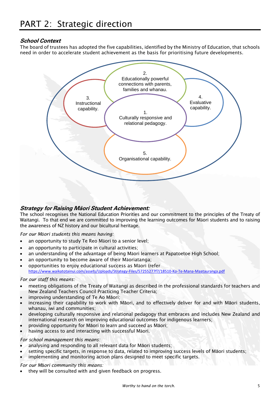# <span id="page-4-1"></span><span id="page-4-0"></span>**School Context**

The board of trustees has adopted the five capabilities, identified by the Ministry of Education, that schools need in order to accelerate student achievement as the basis for prioritising future developments.



# <span id="page-4-2"></span>**Strategy for Raising Māori Student Achievement:**

The school recognises the National Education Priorities and our commitment to the principles of the Treaty of Waitangi. To that end we are committed to improving the learning outcomes for Māori students and to raising the awareness of NZ history and our bicultural heritage.

*For our Māori students this means having:*

- an opportunity to study Te Reo Māori to a senior level;
- an opportunity to participate in cultural activities;
- an understanding of the advantage of being Māori learners at Papatoetoe High School;
- an opportunity to become aware of their Maoriatanga;
- opportunities to enjoy educational success as Māori (refer <https://www.waikatotainui.com/assets/Uploads/Strategy-Files/57255277f7/18510-Ko-Te-Mana-Maatauranga.pdf>

### *For our staff this means:*

- meeting obligations of the Treaty of Waitangi as described in the professional standards for teachers and New Zealand Teachers Council Practicing Teacher Criteria;
- improving understanding of Te Ao Māori;
- increasing their capability to work with Māori, and to effectively deliver for and with Māori students, whanau, iwi and communities;
- developing culturally responsive and relational pedagogy that embraces and includes New Zealand and international research on improving educational outcomes for indigenous learners;
- providing opportunity for Māori to learn and succeed as Māori;
- having access to and interacting with successful Māori.

#### *For school management this means:*

- analysing and responding to all relevant data for Māori students;
- setting specific targets, in response to data, related to improving success levels of Māori students;
- implementing and monitoring action plans designed to meet specific targets.

*For our M*ā*ori community this means:*

they will be consulted with and given feedback on progress.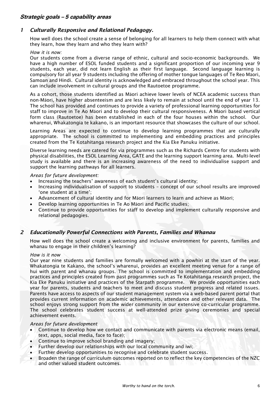# <span id="page-5-0"></span>**Strategic goals – 5 capability areas**

# <span id="page-5-1"></span>*1 Culturally Responsive and Relational Pedagogy.*

How well does the school create a sense of belonging for all learners to help them connect with what they learn, how they learn and who they learn with?

#### *How it is now:*

Our students come from a diverse range of ethnic, cultural and socio-economic backgrounds. We have a high number of ESOL funded students and a significant proportion of our incoming year 9 students, each year, did not learn English as their first language. Second language learning is compulsory for all year 9 students including the offering of mother tongue languages of Te Reo Māori, Samoan and Hindi. Cultural identity is acknowledged and embraced throughout the school year. This can include involvement in cultural groups and the Rautoetoe programme.

As a cohort, those students identified as Māori achieve lower levels of NCEA academic success than non-Māori, have higher absenteeism and are less likely to remain at school until the end of year 13. The school has provided and continues to provide a variety of professional learning opportunities for staff to improve in Te Ao Māori and to develop their cultural responsiveness. A Māori based vertical form class (Rautoetoe) has been established in each of the four houses within the school. Our wharenui, Whakatongia te kakano, is an important resource that showcases the culture of our school.

Learning Areas are expected to continue to develop learning programmes that are culturally appropriate. The school is committed to implementing and embedding practices and principles created from the Te Kotahitanga research project and the Kia Eke Panuku initiative.

Diverse learning needs are catered for via programmes such as the Richards Centre for students with physical disabilities, the ESOL Learning Area, GATE and the learning support learning area. Multi-level study is available and there is an increasing awareness of the need to individualise support and support the learning pathways for all learners.

#### *Areas for future development:*

- Increasing the teachers' awareness of each student's cultural identity;
- Increasing individualisation of support to students concept of our school results are improved 'one student at a time';
- Advancement of cultural identity and for Māori learners to learn and achieve as Māori;
- Develop learning opportunities in Te Ao Māori and Pacific studies;
- Continue to provide opportunities for staff to develop and implement culturally responsive and relational pedagogies.

# <span id="page-5-2"></span>*2 Educationally Powerful Connections with Parents, Families and Whanau*

How well does the school create a welcoming and inclusive environment for parents, families and whanau to engage in their children's learning?

## *How is it now*

Our year nine students and families are formally welcomed with a powhiri at the start of the year. Whakatongia te Kakano, the school's wharenui, provides an excellent meeting venue for a range of hui with parent and whanau groups. The school is committed to implementation and embedding practices and principles created from past programmes such as Te Kotahitanga research project, the Kia Eke Panuku initiative and practices of the Starpath programme. We provide opportunities each year for parents, students and teachers to meet and discuss student progress and related issues. Parents have access to aspects of our student management system via a web-based parent portal that provides current information on academic achievements, attendance and other relevant data. The school enjoys strong support from the wider community in our extensive co-curricular programme. The school celebrates student success at well-attended prize giving ceremonies and special achievement events.

#### *Areas for future development*

- Continue to develop how we contact and communicate with parents via electronic means (email, text, apps, social media, face to face);
- Continue to improve school branding and imagery;
- Further develop our relationships with our local community and iwi;
- Further develop opportunities to recognise and celebrate student success.
- Broaden the range of curriculum outcomes reported on to reflect the key competencies of the NZC and other valued student outcomes.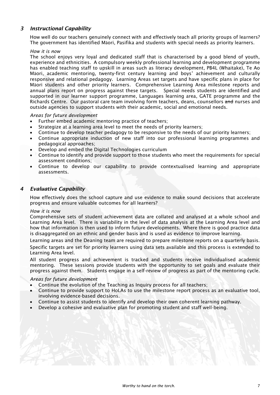# <span id="page-6-0"></span>*3 Instructional Capability*

How well do our teachers genuinely connect with and effectively teach all priority groups of learners? The government has identified Māori, Pasifika and students with special needs as priority learners.

#### *How it is now*

The school enjoys very loyal and dedicated staff that is characterised by a good blend of youth, experience and ethnicities. A compulsory weekly professional learning and development programme has enabled teaching staff to upskill in areas such as literacy development, PB4L (Whaitake), Te Ao Māori, academic mentoring, twenty-first century learning and boys' achievement and culturally responsive and relational pedagogy. Learning Areas set targets and have specific plans in place for Māori students and other priority learners. Comprehensive Learning Area milestone reports and annual plans report on progress against these targets. Special needs students are identified and supported in our learner support programme, Languages learning area, GATE programme and the Richards Centre. Our pastoral care team involving form teachers, deans, counsellors and nurses and outside agencies to support students with their academic, social and emotional needs.

#### *Areas for future development*

- Further embed academic mentoring practice of teachers;
- Strategize at a learning area level to meet the needs of priority learners;
- Continue to develop teacher pedagogy to be responsive to the needs of our priority learners;
- Continue appropriate induction of new staff into our professional learning programmes and pedagogical approaches;
- Develop and embed the Digital Technologies curriculum
- Continue to identify and provide support to those students who meet the requirements for special assessment conditions;
- Continue to develop our capability to provide contextualised learning and appropriate assessments.

## <span id="page-6-1"></span>*4 Evaluative Capability*

How effectively does the school capture and use evidence to make sound decisions that accelerate progress and ensure valuable outcomes for all learners?

#### *How it is now*

Comprehensive sets of student achievement data are collated and analysed at a whole school and Learning Area level. There is variability in the level of data analysis at the Learning Area level and how that information is then used to inform future developments. Where there is good practice data is disaggregated on an ethnic and gender basis and is used as evidence to improve learning.

Learning areas and the Deaning team are required to prepare milestone reports on a quarterly basis.

Specific targets are set for priority learners using data sets available and this process is extended to Learning Area level.

All student progress and achievement is tracked and students receive individualised academic mentoring. These sessions provide students with the opportunity to set goals and evaluate their progress against them. Students engage in a self-review of progress as part of the mentoring cycle.

#### *Areas for future development*

- Continue the evolution of the Teaching as Inquiry process for all teachers;
- Continue to provide support to HoLAs to use the milestone report process as an evaluative tool, involving evidence-based decisions.
- Continue to assist students to identify and develop their own coherent learning pathway.
- Develop a cohesive and evaluative plan for promoting student and staff well-being.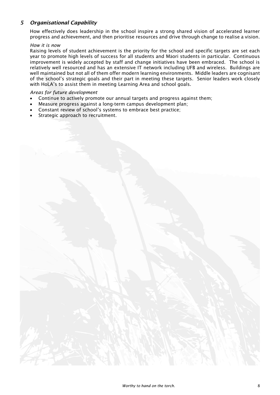# <span id="page-7-0"></span>*5 Organisational Capability*

How effectively does leadership in the school inspire a strong shared vision of accelerated learner progress and achievement, and then prioritise resources and drive through change to realise a vision.

#### *How it is now*

Raising levels of student achievement is the priority for the school and specific targets are set each year to promote high levels of success for all students and Māori students in particular. Continuous improvement is widely accepted by staff and change initiatives have been embraced. The school is relatively well resourced and has an extensive IT network including UFB and wireless. Buildings are well maintained but not all of them offer modern learning environments. Middle leaders are cognisant of the school's strategic goals and their part in meeting these targets. Senior leaders work closely with HoLA's to assist them in meeting Learning Area and school goals.

#### *Areas for future development*

- Continue to actively promote our annual targets and progress against them;
- Measure progress against a long-term campus development plan;
- Constant review of school's systems to embrace best practice;
- Strategic approach to recruitment.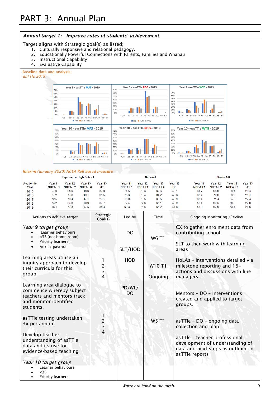<span id="page-8-1"></span><span id="page-8-0"></span>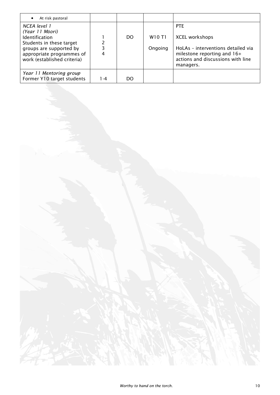| At risk pastoral<br>$\bullet$                                                                                                                                               |     |     |                                           |                                                                                                                                                            |
|-----------------------------------------------------------------------------------------------------------------------------------------------------------------------------|-----|-----|-------------------------------------------|------------------------------------------------------------------------------------------------------------------------------------------------------------|
| NCEA level 1<br>(Year 11 Māori)<br><b>Identification</b><br>Students in these target<br>groups are supported by<br>appropriate programmes of<br>work (established criteria) | 3   | DO. | W <sub>10</sub> T <sub>1</sub><br>Ongoing | <b>PTE</b><br><b>XCEL workshops</b><br>HoLAs - interventions detailed via<br>milestone reporting and 16+<br>actions and discussions with line<br>managers. |
| Year 11 Mentoring group<br>Former Y10 target students                                                                                                                       | 1-4 | DO  |                                           |                                                                                                                                                            |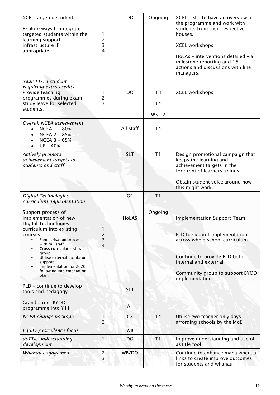| <b>XCEL targeted students</b><br>Explore ways to integrate<br>targeted students within the<br>learning support<br>infrastructure if<br>appropriate.                                                         | 1<br>2<br>3<br>4               | <b>DO</b>    | Ongoing                                          | XCEL - SLT to have an overview of<br>the programme and work with<br>students from their respective<br>houses.<br><b>XCEL workshops</b><br>HoLAs - interventions detailed via<br>milestone reporting and 16+<br>actions and discussions with line<br>managers. |
|-------------------------------------------------------------------------------------------------------------------------------------------------------------------------------------------------------------|--------------------------------|--------------|--------------------------------------------------|---------------------------------------------------------------------------------------------------------------------------------------------------------------------------------------------------------------------------------------------------------------|
| Year 11-13 student<br>requiring extra credits<br>Provide teaching<br>programmes during exam<br>study leave for selected<br>students.                                                                        | 1<br>$\frac{2}{3}$             | <b>DO</b>    | T <sub>3</sub><br>T <sub>4</sub><br><b>W5 T2</b> | <b>XCEL workshops</b>                                                                                                                                                                                                                                         |
| Overall NCEA achievement<br>NCEA 1 - 80%<br><b>NCEA 2 - 85%</b><br><b>NCEA 3 - 65%</b><br>UE - 40%<br>$\bullet$                                                                                             |                                | All staff    | T <sub>4</sub>                                   |                                                                                                                                                                                                                                                               |
| Actively promote<br>achievement targets to<br>students and staff                                                                                                                                            |                                | <b>SLT</b>   | T1                                               | Design promotional campaign that<br>keeps the learning and<br>achievement targets in the<br>forefront of learners' minds.<br>Obtain student voice around how                                                                                                  |
| Digital Technologies                                                                                                                                                                                        |                                | <b>GR</b>    | T1                                               | this might work.                                                                                                                                                                                                                                              |
| curriculum implementation<br>Support process of<br>implementation of new<br>Digital Technologies<br>curriculum into existing<br>courses.<br><b>Familiarisation process</b><br>$\bullet$<br>with full staff. | 1<br>$\frac{2}{3}$             | <b>HoLAS</b> | Ongoing                                          | <b>Implementation Support Team</b><br>PLD to support implementation<br>across whole school curriculum.                                                                                                                                                        |
| Cross curricular review<br>$\bullet$<br>group.<br>Utilise external facilitator<br>support<br>Implementation for 2020<br>following implementation<br>plan.<br>PLD - continue to develop                      | 4                              | <b>SLT</b>   |                                                  | Continue to provide PLD both<br>internal and external<br>Community group to support BYOD<br>implementation                                                                                                                                                    |
| tools and pedagogy<br><b>Grandparent BYOD</b>                                                                                                                                                               |                                |              |                                                  |                                                                                                                                                                                                                                                               |
| programme into Y11                                                                                                                                                                                          |                                | All          |                                                  |                                                                                                                                                                                                                                                               |
| NCEA change package                                                                                                                                                                                         | $\mathbf{1}$<br>$\overline{2}$ | <b>CX</b>    | T <sub>4</sub>                                   | Utilise two teacher only days<br>affording schools by the MoE                                                                                                                                                                                                 |
| Equity / excellence focus                                                                                                                                                                                   |                                | <b>WB</b>    |                                                  |                                                                                                                                                                                                                                                               |
| asTTle understanding                                                                                                                                                                                        |                                |              |                                                  |                                                                                                                                                                                                                                                               |
| development                                                                                                                                                                                                 | 1                              | <b>DO</b>    | T1                                               | Improve understanding and use of<br>asTTle tool.                                                                                                                                                                                                              |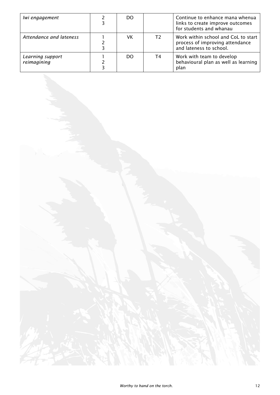| lwi engagement                  | DO |    | Continue to enhance mana whenua<br>links to create improve outcomes<br>for students and whanau    |
|---------------------------------|----|----|---------------------------------------------------------------------------------------------------|
| Attendance and lateness         | VK | T2 | Work within school and CoL to start<br>process of improving attendance<br>and lateness to school. |
| Learning support<br>reimagining | DO | T4 | Work with team to develop<br>behavioural plan as well as learning<br>plan                         |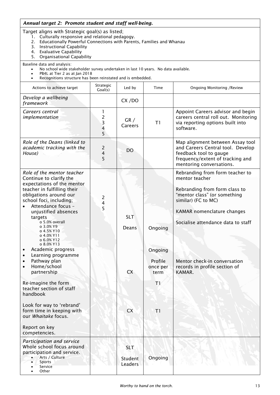<span id="page-12-0"></span>

| Annual target 2: Promote student and staff well-being.                                                                                                                                                                                                                                                                                                                                                                                                                                                                                                              |                                                |                                               |                                                               |                                                                                                                                                                                                                                                                                          |
|---------------------------------------------------------------------------------------------------------------------------------------------------------------------------------------------------------------------------------------------------------------------------------------------------------------------------------------------------------------------------------------------------------------------------------------------------------------------------------------------------------------------------------------------------------------------|------------------------------------------------|-----------------------------------------------|---------------------------------------------------------------|------------------------------------------------------------------------------------------------------------------------------------------------------------------------------------------------------------------------------------------------------------------------------------------|
| Target aligns with Strategic goal(s) as listed;<br>1. Culturally responsive and relational pedagogy.<br>Educationally Powerful Connections with Parents, Families and Whanau<br>2.<br>3. Instructional Capability<br>4. Evaluative Capability<br><b>Organisational Capability</b><br>5.                                                                                                                                                                                                                                                                             |                                                |                                               |                                                               |                                                                                                                                                                                                                                                                                          |
| Baseline data and analysis:<br>No school wide stakeholder survey undertaken in last 10 years. No data available.<br>$\bullet$<br>PB4L at Tier 2 as at Jan 2018<br>Recognitions structure has been reinstated and is embedded.                                                                                                                                                                                                                                                                                                                                       |                                                |                                               |                                                               |                                                                                                                                                                                                                                                                                          |
| Actions to achieve target                                                                                                                                                                                                                                                                                                                                                                                                                                                                                                                                           | Strategic<br>Goal(s)                           | Led by                                        | Time                                                          | <b>Ongoing Monitoring /Review</b>                                                                                                                                                                                                                                                        |
| Develop a wellbeing<br>framework                                                                                                                                                                                                                                                                                                                                                                                                                                                                                                                                    |                                                | CX/DO                                         |                                                               |                                                                                                                                                                                                                                                                                          |
| Careers central<br>implementation                                                                                                                                                                                                                                                                                                                                                                                                                                                                                                                                   | 1<br>2<br>3<br>4<br>5                          | GR/<br>Careers                                | T1                                                            | Appoint Careers advisor and begin<br>careers central roll out. Monitoring<br>via reporting options built into<br>software.                                                                                                                                                               |
| Role of the Deans (linked to<br>academic tracking with the<br>House)                                                                                                                                                                                                                                                                                                                                                                                                                                                                                                | $\overline{2}$<br>4<br>5                       | D <sub>O</sub>                                |                                                               | Map alignment between Assay tool<br>and Careers Central tool. Develop<br>feedback tool to gauge<br>frequency/extent of tracking and<br>mentoring conversations.                                                                                                                          |
| Role of the mentor teacher<br>Continue to clarify the<br>expectations of the mentor<br>teacher in fulfilling their<br>obligations around our<br>school foci, including;<br>Attendance focus -<br>unjustified absences<br>targets<br>o 5.0% overall<br>$0.3.0\%$ Y9<br>o 4.5% Y10<br>o 4.0% Y11<br>o 6.0% Y12<br>o 8.0% Y13<br>Academic progress<br>Learning programme<br>Pathway plan<br>Home/school<br>partnership<br>Re-imagine the form<br>teacher section of staff<br>handbook<br>Look for way to 'rebrand'<br>form time in keeping with<br>our Whaitake focus. | $\overline{2}$<br>$\overline{\mathbf{4}}$<br>5 | <b>SLT</b><br>Deans<br><b>CX</b><br><b>CX</b> | Ongoing<br>Ongoing<br>Profile<br>once per<br>term<br>T1<br>T1 | Rebranding from form teacher to<br>mentor teacher<br>Rebranding from form class to<br>"mentor class" (or something<br>similar) (FC to MC)<br>KAMAR nomenclature changes<br>Socialise attendance data to staff<br>Mentor check-in conversation<br>records in profile section of<br>KAMAR. |
| Report on key<br>competencies.<br>Participation and service<br>Whole school focus around<br>participation and service.<br>Arts / Culture                                                                                                                                                                                                                                                                                                                                                                                                                            |                                                | <b>SLT</b><br>Student                         | Ongoing                                                       |                                                                                                                                                                                                                                                                                          |

Leaders

• Sports • Service • Other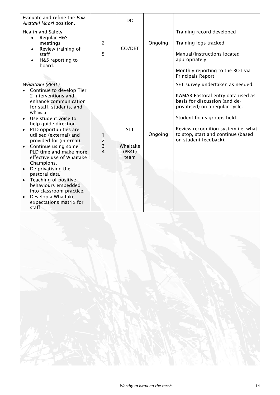| Evaluate and refine the Pou<br>Arataki Māori position.                                                                                                                                                                                                                                                                                                                                                                                                                                                                                     |                     | DO.                                      |         |                                                                                                                                                                                                                                                                               |
|--------------------------------------------------------------------------------------------------------------------------------------------------------------------------------------------------------------------------------------------------------------------------------------------------------------------------------------------------------------------------------------------------------------------------------------------------------------------------------------------------------------------------------------------|---------------------|------------------------------------------|---------|-------------------------------------------------------------------------------------------------------------------------------------------------------------------------------------------------------------------------------------------------------------------------------|
| Health and Safety<br>Regular H&S<br>$\bullet$<br>meetings<br>Review training of<br>staff<br>H&S reporting to<br>board.                                                                                                                                                                                                                                                                                                                                                                                                                     | $\overline{2}$<br>5 | CO/DET                                   | Ongoing | Training record developed<br>Training logs tracked<br>Manual/instructions located<br>appropriately<br>Monthly reporting to the BOT via<br><b>Principals Report</b>                                                                                                            |
| Whaitake (PB4L)<br>Continue to develop Tier<br>2 interventions and<br>enhance communication<br>for staff, students, and<br>whānau<br>Use student voice to<br>help guide direction.<br>PLD opportunities are<br>utilised (external) and<br>provided for (internal).<br>Continue using some<br>PLD time and make more<br>effective use of Whaitake<br>Champions.<br>De-privatising the<br>pastoral data<br>Teaching of positive<br>behaviours embedded<br>into classroom practice.<br>Develop a Whaitake<br>expectations matrix for<br>staff | $\frac{2}{3}$<br>4  | <b>SLT</b><br>Whaitake<br>(PB4L)<br>team | Ongoing | SET survey undertaken as needed.<br>KAMAR Pastoral entry data used as<br>basis for discussion (and de-<br>privatised) on a regular cycle.<br>Student focus groups held.<br>Review recognition system i.e. what<br>to stop, start and continue (based<br>on student feedback). |

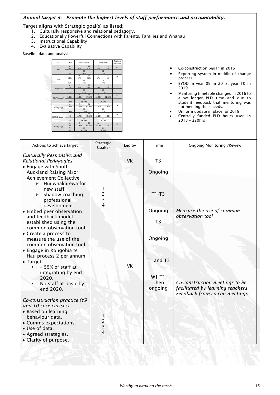# <span id="page-14-0"></span>*Annual target 3: Promote the highest levels of staff performance and accountability.*

Target aligns with Strategic goal(s) as listed;

- 1. Culturally responsive and relational pedagogy.
- 2. Educationally Powerful Connections with Parents, Families and Whanau
- 3. Instructional Capability
- 4. Evaluative Capability

Baseline data and analysis:

| Year           | <b>Basic</b>                      |              | Developing   | Integrating  |                                   | Teachers<br>observed |  |  |
|----------------|-----------------------------------|--------------|--------------|--------------|-----------------------------------|----------------------|--|--|
| 2015           | 4<br>9%                           | 11<br>24%    | 19<br>42%    | 8<br>18%     | $\overline{3}$<br>7%              | 45                   |  |  |
|                | $\overline{a}$<br>9%              |              | 30<br>66%    | 11           | 25%                               |                      |  |  |
| 2016           | $\overline{7}$<br>12%             | 16<br>27%    | 21<br>36%    | 9<br>17%     | 6<br>9%                           | 59                   |  |  |
|                | $\overline{7}$<br>12%             |              | 37<br>63%    | 26%          | 15                                |                      |  |  |
|                | $\overline{a}$<br>7%              | 15<br>26%    | 22<br>39%    | 11<br>19%    | 5<br>8%                           | 57                   |  |  |
| 2017 (March)   | $\overline{a}$<br>7%              |              | 37<br>65%    |              | 16<br>27%                         |                      |  |  |
|                | $\overline{\phantom{a}}$<br>3.30% | 10<br>16.40% | 27<br>44.30% | 15<br>24.60% | $\overline{7}$<br>11.50%          | 61                   |  |  |
| 2017 (August)  | $\overline{\phantom{a}}$<br>3.30% |              | 37<br>60.70% |              | 22<br>36.10%                      |                      |  |  |
|                | $\overline{a}$<br>7.40%           | 6<br>11.10%  | 24<br>44.40% | 17<br>31.40% | 3<br>5.50%                        | 54                   |  |  |
| 2018 (May)     | $\overline{a}$<br>7.40%           |              | 30<br>55.50% |              | $\overline{20}$<br>37%            |                      |  |  |
|                | $\overline{3}$<br>5%              | 6<br>10.70%  | 27<br>48.20% | 18<br>32.10% | $\overline{\phantom{a}}$<br>3.50% | 56                   |  |  |
| 2018 (October) | $\overline{\mathbf{3}}$<br>5%     |              | 33<br>58.90% |              | 20<br>35.60%                      |                      |  |  |
| 2019 (May)     | $\overline{0}$<br>0%              | 6<br>11.32%  | 20<br>37.74% | 26<br>49.06% | $\mathbf{1}$<br>2%                | 53                   |  |  |
|                | $\mathbf 0$<br>0%                 |              | 26<br>49.10% | 27<br>50.90% |                                   |                      |  |  |

- Co-construction began in 2016
- Reporting system in middle of change process
- BYOD in year 09 in 2018, year 10 in 2019
- Mentoring timetable changed in 2016 to allow longer PLD time and due to student feedback that mentoring was not meeting their needs.
- Uniform update in place for 2019.
- Centrally funded PLD hours used in 2018 – 320hrs

| Actions to achieve target                                                                                                                                                                  | Strategic<br>Goal(s)          | Led by    | Time                      | Ongoing Monitoring / Review                                                                          |
|--------------------------------------------------------------------------------------------------------------------------------------------------------------------------------------------|-------------------------------|-----------|---------------------------|------------------------------------------------------------------------------------------------------|
| Culturally Responsive and<br>Relational Pedagogies<br>• Engage with South<br>Auckland Raising Maori                                                                                        |                               | <b>VK</b> | T <sub>3</sub><br>Ongoing |                                                                                                      |
| <b>Achievement Collective</b><br>Hui whakarewa for<br>$\blacktriangleright$<br>new staff<br>Shadow coaching<br>$\blacktriangleright$<br>professional<br>development                        | 1<br>$\frac{2}{3}$<br>4       |           | $T1-T3$                   |                                                                                                      |
| • Embed peer observation<br>and feedback model<br>established using the                                                                                                                    |                               |           | Ongoing<br>T <sub>3</sub> | Measure the use of common<br>observation tool                                                        |
| common observation tool.<br>• Create a process to<br>measure the use of the<br>common observation tool.<br>• Engage in Rongohia te                                                         |                               |           | Ongoing                   |                                                                                                      |
| Hau process 2 per annum<br>• Target<br>- 55% of staff at                                                                                                                                   |                               | <b>VK</b> | T1 and T3                 |                                                                                                      |
| integrating by end<br>2020.<br>No staff at basic by<br>end 2020.                                                                                                                           |                               |           | W1 T1<br>Then<br>ongoing  | Co-construction meetings to be<br>facilitated by learning teachers<br>Feedback from co-con meetings. |
| Co-construction practice (Y9<br>and 10 core classes)<br>• Based on learning<br>behaviour data.<br>• Comms expectations.<br>· Use of data.<br>• Agreed strategies.<br>• Clarity of purpose. | 1<br>$\overline{c}$<br>3<br>4 |           |                           |                                                                                                      |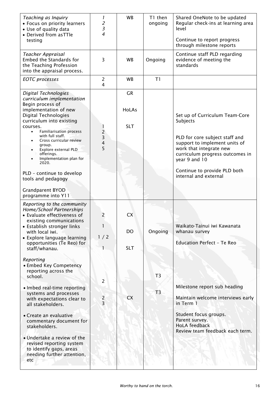| Teaching as Inquiry<br>• Focus on priority learners<br>• Use of quality data<br>• Derived from asTTle<br>testing                                                                                                                                                                                                                                                                                                                                            | 1<br>2<br>3<br>4                                | <b>WB</b>                               | T1 then<br>ongoing               | Shared OneNote to be updated<br>Regular check-ins at learning area<br>level<br>Continue to report progress<br>through milestone reports                                                                                                               |
|-------------------------------------------------------------------------------------------------------------------------------------------------------------------------------------------------------------------------------------------------------------------------------------------------------------------------------------------------------------------------------------------------------------------------------------------------------------|-------------------------------------------------|-----------------------------------------|----------------------------------|-------------------------------------------------------------------------------------------------------------------------------------------------------------------------------------------------------------------------------------------------------|
| Teacher Appraisal<br>Embed the Standards for<br>the Teaching Profession<br>into the appraisal process.                                                                                                                                                                                                                                                                                                                                                      | 3                                               | <b>WB</b>                               | Ongoing                          | Continue staff PLD regarding<br>evidence of meeting the<br>standards                                                                                                                                                                                  |
| <b>EOTC</b> processes                                                                                                                                                                                                                                                                                                                                                                                                                                       | $\overline{c}$<br>4                             | <b>WB</b>                               | T1                               |                                                                                                                                                                                                                                                       |
| Digital Technologies<br>curriculum implementation<br>Begin process of<br>implementation of new<br><b>Digital Technologies</b><br>curriculum into existing<br>courses.<br><b>Familiarisation process</b><br>$\bullet$<br>with full staff.<br>Cross curricular review<br>group.<br>Explore external PLD<br>offerings.<br>Implementation plan for<br>2020.<br>PLD - continue to develop<br>tools and pedagogy<br><b>Grandparent BYOD</b><br>programme into Y11 | $\begin{array}{c} 2 \\ 3 \\ 4 \end{array}$<br>5 | <b>GR</b><br><b>HoLAs</b><br><b>SLT</b> |                                  | Set up of Curriculum Team-Core<br>Subjects<br>PLD for core subject staff and<br>support to implement units of<br>work that integrate new<br>curriculum progress outcomes in<br>year 9 and 10<br>Continue to provide PLD both<br>internal and external |
| Reporting to the community<br>Home/School Partnerships<br>• Evaluate effectiveness of<br>existing communications<br>• Establish stronger links<br>with local iwi.<br>• Explore language learning<br>opportunities (Te Reo) for<br>staff/whanau.                                                                                                                                                                                                             | 2<br>1<br>1/2                                   | <b>CX</b><br><b>DO</b><br><b>SLT</b>    | Ongoing                          | Waikato-Tainui iwi Kawanata<br>whanau survey<br><b>Education Perfect - Te Reo</b>                                                                                                                                                                     |
| Reporting<br>• Embed Key Competency<br>reporting across the<br>school.<br>• Imbed real-time reporting<br>systems and processes<br>with expectations clear to<br>all stakeholders.<br>• Create an evaluative<br>commentary document for<br>stakeholders.<br>• Undertake a review of the<br>revised reporting system<br>to identify gaps, areas<br>needing further attention,<br>etc                                                                          | $\overline{2}$<br>$\frac{2}{3}$                 | <b>CX</b>                               | T <sub>3</sub><br>T <sub>3</sub> | Milestone report sub heading<br>Maintain welcome interviews early<br>in Term 1<br>Student focus groups.<br>Parent survey.<br><b>HoLA</b> feedback<br>Review team feedback each term.                                                                  |